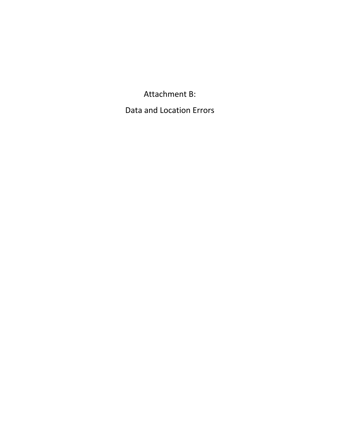Attachment B: Data and Location Errors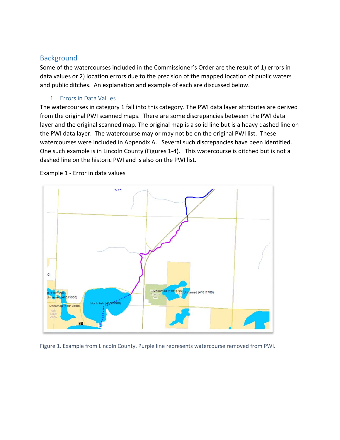## Background

Some of the watercourses included in the Commissioner's Order are the result of 1) errors in data values or 2) location errors due to the precision of the mapped location of public waters and public ditches. An explanation and example of each are discussed below.

## 1. Errors in Data Values

The watercourses in category 1 fall into this category. The PWI data layer attributes are derived from the original PWI scanned maps. There are some discrepancies between the PWI data layer and the original scanned map. The original map is a solid line but is a heavy dashed line on the PWI data layer. The watercourse may or may not be on the original PWI list. These watercourses were included in Appendix A. Several such discrepancies have been identified. One such example is in Lincoln County (Figures 1-4). This watercourse is ditched but is not a dashed line on the historic PWI and is also on the PWI list.



Example 1 - Error in data values

Figure 1. Example from Lincoln County. Purple line represents watercourse removed from PWI.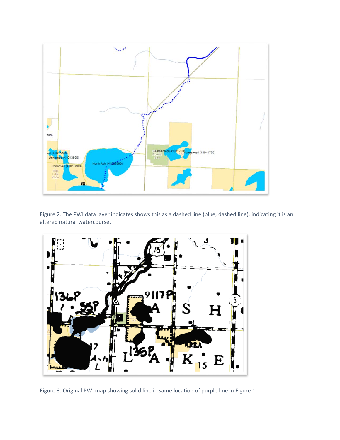

Figure 2. The PWI data layer indicates shows this as a dashed line (blue, dashed line), indicating it is an altered natural watercourse.



Figure 3. Original PWI map showing solid line in same location of purple line in Figure 1.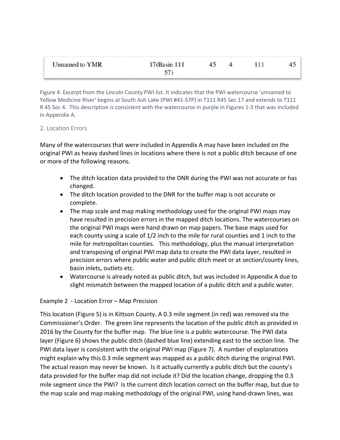| <b>Unnamed to YMR</b> | 17(Basin 111) |  | 111 |  |
|-----------------------|---------------|--|-----|--|
|                       | 57)           |  |     |  |

Figure 4. Excerpt from the Lincoln County PWI list. It indicates that the PWI watercourse 'unnamed to Yellow Medicine River' begins at South Ash Lake (PWI #41-57P) in T111 R45 Sec 17 and extends to T111 R 45 Sec 4. This description is consistent with the watercourse in purple in Figures 1-3 that was included in Appendix A.

## 2. Location Errors

Many of the watercourses that were included in Appendix A may have been included on the original PWI as heavy dashed lines in locations where there is not a public ditch because of one or more of the following reasons.

- The ditch location data provided to the DNR during the PWI was not accurate or has changed.
- The ditch location provided to the DNR for the buffer map is not accurate or complete.
- The map scale and map making methodology used for the original PWI maps may have resulted in precision errors in the mapped ditch locations. The watercourses on the original PWI maps were hand drawn on map papers. The base maps used for each county using a scale of 1/2 inch to the mile for rural counties and 1 inch to the mile for metropolitan counties. This methodology, plus the manual interpretation and transposing of original PWI map data to create the PWI data layer, resulted in precision errors where public water and public ditch meet or at section/county lines, basin inlets, outlets etc.
- Watercourse is already noted as public ditch, but was included in Appendix A due to slight mismatch between the mapped location of a public ditch and a public water.

## Example 2 - Location Error – Map Precision

This location (Figure 5) is in Kittson County. A 0.3 mile segment (in red) was removed via the Commissioner's Order. The green line represents the location of the public ditch as provided in 2016 by the County for the buffer map. The blue line is a public watercourse. The PWI data layer (Figure 6) shows the public ditch (dashed blue line) extending east to the section line. The PWI data layer is consistent with the original PWI map (Figure 7). A number of explanations might explain why this 0.3 mile segment was mapped as a public ditch during the original PWI. The actual reason may never be known. Is it actually currently a public ditch but the county's data provided for the buffer map did not include it? Did the location change, dropping the 0.3 mile segment since the PWI? Is the current ditch location correct on the buffer map, but due to the map scale and map making methodology of the original PWI, using hand-drawn lines, was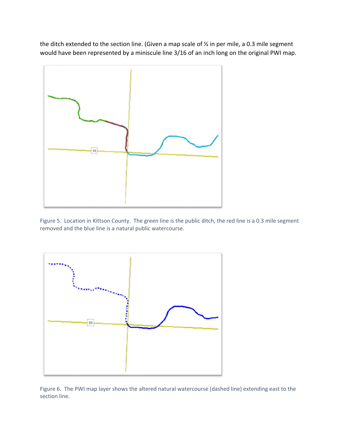the ditch extended to the section line. (Given a map scale of  $\frac{1}{2}$  in per mile, a 0.3 mile segment would have been represented by a miniscule line 3/16 of an inch long on the original PWI map.



Figure 5. Location in Kittson County. The green line is the public ditch, the red line is a 0.3 mile segment removed and the blue line is a natural public watercourse.



Figure 6. The PWI map layer shows the altered natural watercourse (dashed line) extending east to the section line.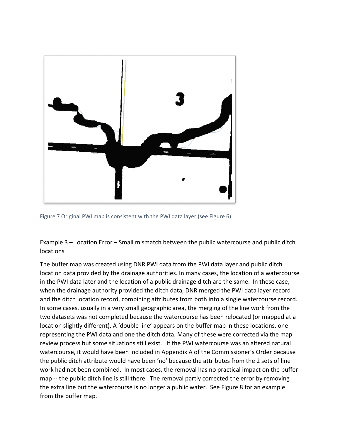

Figure 7 Original PWI map is consistent with the PWI data layer (see Figure 6).

Example 3 – Location Error – Small mismatch between the public watercourse and public ditch locations

The buffer map was created using DNR PWI data from the PWI data layer and public ditch location data provided by the drainage authorities. In many cases, the location of a watercourse in the PWI data later and the location of a public drainage ditch are the same. In these case, when the drainage authority provided the ditch data, DNR merged the PWI data layer record and the ditch location record, combining attributes from both into a single watercourse record. In some cases, usually in a very small geographic area, the merging of the line work from the two datasets was not completed because the watercourse has been relocated (or mapped at a location slightly different). A 'double line' appears on the buffer map in these locations, one representing the PWI data and one the ditch data. Many of these were corrected via the map review process but some situations still exist. If the PWI watercourse was an altered natural watercourse, it would have been included in Appendix A of the Commissioner's Order because the public ditch attribute would have been 'no' because the attributes from the 2 sets of line work had not been combined. In most cases, the removal has no practical impact on the buffer map -- the public ditch line is still there. The removal partly corrected the error by removing the extra line but the watercourse is no longer a public water. See Figure 8 for an example from the buffer map.